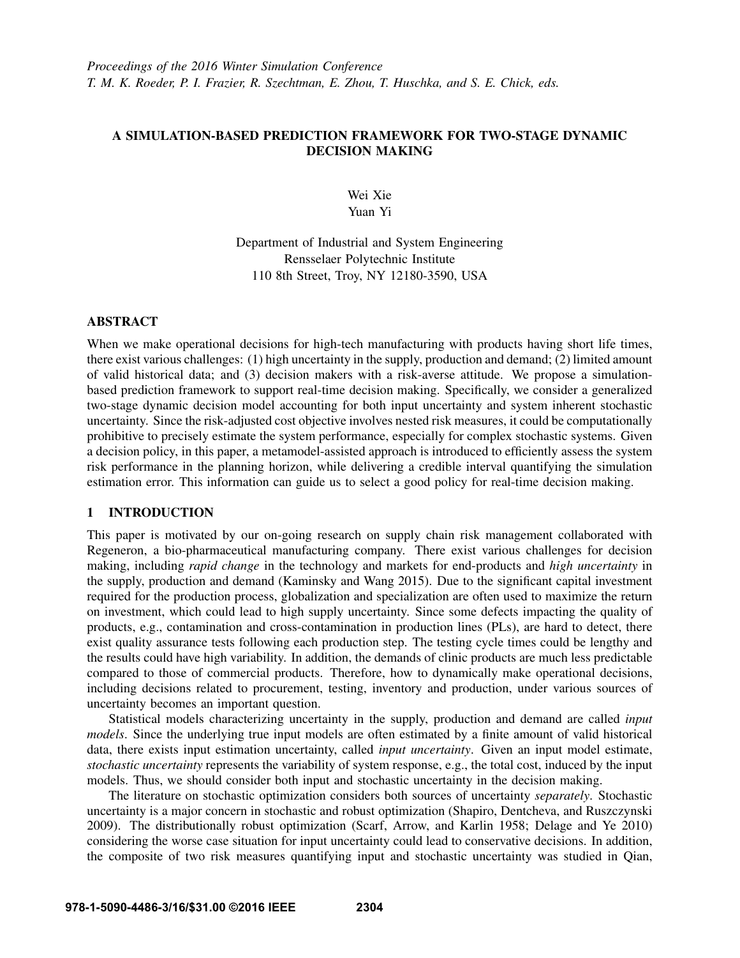# A SIMULATION-BASED PREDICTION FRAMEWORK FOR TWO-STAGE DYNAMIC DECISION MAKING

Wei Xie Yuan Yi

Department of Industrial and System Engineering Rensselaer Polytechnic Institute 110 8th Street, Troy, NY 12180-3590, USA

## ABSTRACT

When we make operational decisions for high-tech manufacturing with products having short life times, there exist various challenges: (1) high uncertainty in the supply, production and demand; (2) limited amount of valid historical data; and (3) decision makers with a risk-averse attitude. We propose a simulationbased prediction framework to support real-time decision making. Specifically, we consider a generalized two-stage dynamic decision model accounting for both input uncertainty and system inherent stochastic uncertainty. Since the risk-adjusted cost objective involves nested risk measures, it could be computationally prohibitive to precisely estimate the system performance, especially for complex stochastic systems. Given a decision policy, in this paper, a metamodel-assisted approach is introduced to efficiently assess the system risk performance in the planning horizon, while delivering a credible interval quantifying the simulation estimation error. This information can guide us to select a good policy for real-time decision making.

# 1 INTRODUCTION

This paper is motivated by our on-going research on supply chain risk management collaborated with Regeneron, a bio-pharmaceutical manufacturing company. There exist various challenges for decision making, including *rapid change* in the technology and markets for end-products and *high uncertainty* in the supply, production and demand (Kaminsky and Wang 2015). Due to the significant capital investment required for the production process, globalization and specialization are often used to maximize the return on investment, which could lead to high supply uncertainty. Since some defects impacting the quality of products, e.g., contamination and cross-contamination in production lines (PLs), are hard to detect, there exist quality assurance tests following each production step. The testing cycle times could be lengthy and the results could have high variability. In addition, the demands of clinic products are much less predictable compared to those of commercial products. Therefore, how to dynamically make operational decisions, including decisions related to procurement, testing, inventory and production, under various sources of uncertainty becomes an important question.

Statistical models characterizing uncertainty in the supply, production and demand are called *input models*. Since the underlying true input models are often estimated by a finite amount of valid historical data, there exists input estimation uncertainty, called *input uncertainty*. Given an input model estimate, *stochastic uncertainty* represents the variability of system response, e.g., the total cost, induced by the input models. Thus, we should consider both input and stochastic uncertainty in the decision making.

The literature on stochastic optimization considers both sources of uncertainty *separately*. Stochastic uncertainty is a major concern in stochastic and robust optimization (Shapiro, Dentcheva, and Ruszczynski 2009). The distributionally robust optimization (Scarf, Arrow, and Karlin 1958; Delage and Ye 2010) considering the worse case situation for input uncertainty could lead to conservative decisions. In addition, the composite of two risk measures quantifying input and stochastic uncertainty was studied in Qian,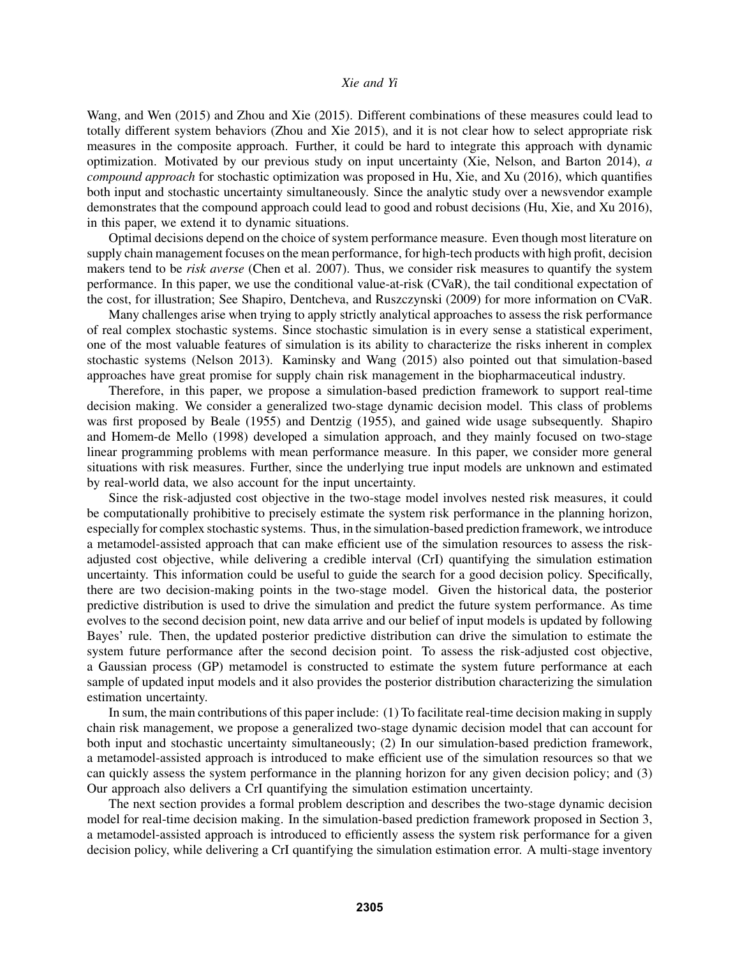Wang, and Wen (2015) and Zhou and Xie (2015). Different combinations of these measures could lead to totally different system behaviors (Zhou and Xie 2015), and it is not clear how to select appropriate risk measures in the composite approach. Further, it could be hard to integrate this approach with dynamic optimization. Motivated by our previous study on input uncertainty (Xie, Nelson, and Barton 2014), *a compound approach* for stochastic optimization was proposed in Hu, Xie, and Xu (2016), which quantifies both input and stochastic uncertainty simultaneously. Since the analytic study over a newsvendor example demonstrates that the compound approach could lead to good and robust decisions (Hu, Xie, and Xu 2016), in this paper, we extend it to dynamic situations.

Optimal decisions depend on the choice of system performance measure. Even though most literature on supply chain management focuses on the mean performance, for high-tech products with high profit, decision makers tend to be *risk averse* (Chen et al. 2007). Thus, we consider risk measures to quantify the system performance. In this paper, we use the conditional value-at-risk (CVaR), the tail conditional expectation of the cost, for illustration; See Shapiro, Dentcheva, and Ruszczynski (2009) for more information on CVaR.

Many challenges arise when trying to apply strictly analytical approaches to assess the risk performance of real complex stochastic systems. Since stochastic simulation is in every sense a statistical experiment, one of the most valuable features of simulation is its ability to characterize the risks inherent in complex stochastic systems (Nelson 2013). Kaminsky and Wang (2015) also pointed out that simulation-based approaches have great promise for supply chain risk management in the biopharmaceutical industry.

Therefore, in this paper, we propose a simulation-based prediction framework to support real-time decision making. We consider a generalized two-stage dynamic decision model. This class of problems was first proposed by Beale (1955) and Dentzig (1955), and gained wide usage subsequently. Shapiro and Homem-de Mello (1998) developed a simulation approach, and they mainly focused on two-stage linear programming problems with mean performance measure. In this paper, we consider more general situations with risk measures. Further, since the underlying true input models are unknown and estimated by real-world data, we also account for the input uncertainty.

Since the risk-adjusted cost objective in the two-stage model involves nested risk measures, it could be computationally prohibitive to precisely estimate the system risk performance in the planning horizon, especially for complex stochastic systems. Thus, in the simulation-based prediction framework, we introduce a metamodel-assisted approach that can make efficient use of the simulation resources to assess the riskadjusted cost objective, while delivering a credible interval (CrI) quantifying the simulation estimation uncertainty. This information could be useful to guide the search for a good decision policy. Specifically, there are two decision-making points in the two-stage model. Given the historical data, the posterior predictive distribution is used to drive the simulation and predict the future system performance. As time evolves to the second decision point, new data arrive and our belief of input models is updated by following Bayes' rule. Then, the updated posterior predictive distribution can drive the simulation to estimate the system future performance after the second decision point. To assess the risk-adjusted cost objective, a Gaussian process (GP) metamodel is constructed to estimate the system future performance at each sample of updated input models and it also provides the posterior distribution characterizing the simulation estimation uncertainty.

In sum, the main contributions of this paper include: (1) To facilitate real-time decision making in supply chain risk management, we propose a generalized two-stage dynamic decision model that can account for both input and stochastic uncertainty simultaneously; (2) In our simulation-based prediction framework, a metamodel-assisted approach is introduced to make efficient use of the simulation resources so that we can quickly assess the system performance in the planning horizon for any given decision policy; and (3) Our approach also delivers a CrI quantifying the simulation estimation uncertainty.

The next section provides a formal problem description and describes the two-stage dynamic decision model for real-time decision making. In the simulation-based prediction framework proposed in Section 3, a metamodel-assisted approach is introduced to efficiently assess the system risk performance for a given decision policy, while delivering a CrI quantifying the simulation estimation error. A multi-stage inventory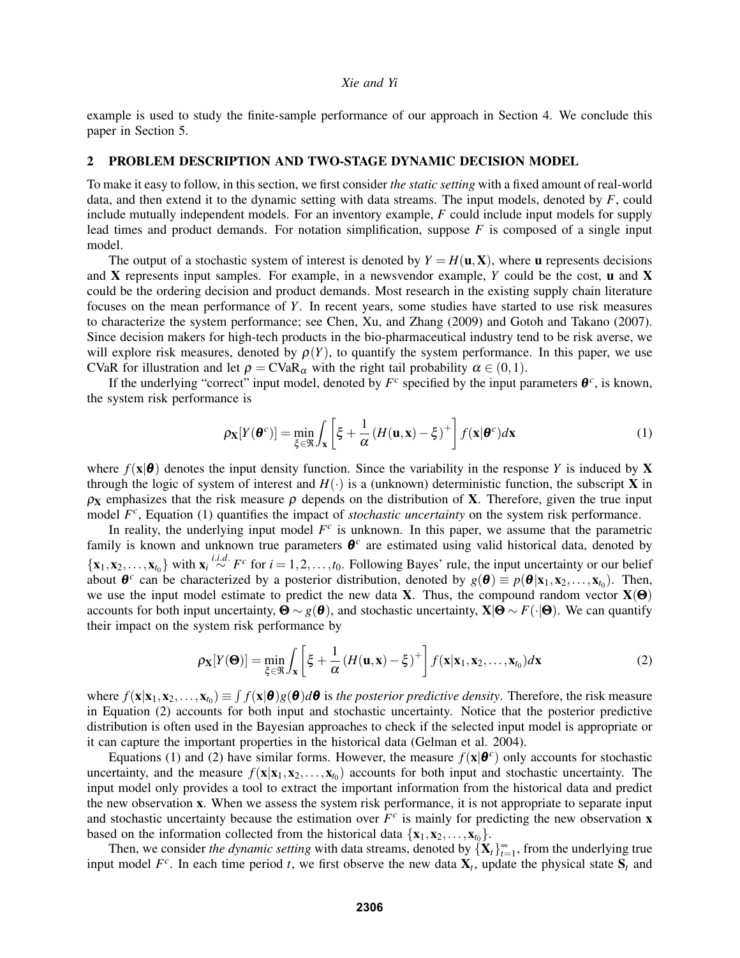example is used to study the finite-sample performance of our approach in Section 4. We conclude this paper in Section 5.

## 2 PROBLEM DESCRIPTION AND TWO-STAGE DYNAMIC DECISION MODEL

To make it easy to follow, in this section, we first consider *the static setting* with a fixed amount of real-world data, and then extend it to the dynamic setting with data streams. The input models, denoted by *F*, could include mutually independent models. For an inventory example, *F* could include input models for supply lead times and product demands. For notation simplification, suppose *F* is composed of a single input model.

The output of a stochastic system of interest is denoted by  $Y = H(\mathbf{u}, \mathbf{X})$ , where **u** represents decisions and X represents input samples. For example, in a newsvendor example, *Y* could be the cost, u and X could be the ordering decision and product demands. Most research in the existing supply chain literature focuses on the mean performance of *Y*. In recent years, some studies have started to use risk measures to characterize the system performance; see Chen, Xu, and Zhang (2009) and Gotoh and Takano (2007). Since decision makers for high-tech products in the bio-pharmaceutical industry tend to be risk averse, we will explore risk measures, denoted by  $\rho(Y)$ , to quantify the system performance. In this paper, we use CVaR for illustration and let  $\rho = CVaR_\alpha$  with the right tail probability  $\alpha \in (0,1)$ .

If the underlying "correct" input model, denoted by  $F^c$  specified by the input parameters  $\boldsymbol{\theta}^c$ , is known, the system risk performance is

$$
\rho_{\mathbf{X}}[Y(\boldsymbol{\theta}^c)] = \min_{\xi \in \mathfrak{R}} \int_{\mathbf{X}} \left[ \xi + \frac{1}{\alpha} \left( H(\mathbf{u}, \mathbf{x}) - \xi \right)^+ \right] f(\mathbf{x} | \boldsymbol{\theta}^c) d\mathbf{x}
$$
(1)

where  $f(x|\theta)$  denotes the input density function. Since the variability in the response *Y* is induced by **X** through the logic of system of interest and  $H(\cdot)$  is a (unknown) deterministic function, the subscript **X** in  $\rho$ <sub>X</sub> emphasizes that the risk measure  $\rho$  depends on the distribution of **X**. Therefore, given the true input model  $F^c$ , Equation (1) quantifies the impact of *stochastic uncertainty* on the system risk performance.

In reality, the underlying input model  $F^c$  is unknown. In this paper, we assume that the parametric family is known and unknown true parameters θ *c* are estimated using valid historical data, denoted by  $\{x_1, x_2, \ldots, x_{t_0}\}$  with  $x_i \stackrel{i.i.d.}{\sim} F^c$  for  $i = 1, 2, \ldots, t_0$ . Following Bayes' rule, the input uncertainty or our belief about  $\theta^c$  can be characterized by a posterior distribution, denoted by  $g(\theta) \equiv p(\theta | x_1, x_2,...,x_{t_0})$ . Then, we use the input model estimate to predict the new data **X**. Thus, the compound random vector  $\mathbf{X}(\mathbf{\Theta})$ accounts for both input uncertainty,  $\mathbf{\Theta} \sim g(\mathbf{\theta})$ , and stochastic uncertainty,  $\mathbf{X}|\mathbf{\Theta} \sim F(\cdot|\mathbf{\Theta})$ . We can quantify their impact on the system risk performance by

$$
\rho_{\mathbf{X}}[Y(\mathbf{\Theta})] = \min_{\xi \in \mathfrak{R}} \int_{\mathbf{x}} \left[ \xi + \frac{1}{\alpha} \left( H(\mathbf{u}, \mathbf{x}) - \xi \right)^+ \right] f(\mathbf{x} | \mathbf{x}_1, \mathbf{x}_2, \dots, \mathbf{x}_{t_0}) d\mathbf{x} \tag{2}
$$

where  $f(\mathbf{x}|\mathbf{x}_1,\mathbf{x}_2,\ldots,\mathbf{x}_{t_0}) \equiv \int f(\mathbf{x}|\boldsymbol{\theta})g(\boldsymbol{\theta})d\boldsymbol{\theta}$  is *the posterior predictive density*. Therefore, the risk measure in Equation (2) accounts for both input and stochastic uncertainty. Notice that the posterior predictive distribution is often used in the Bayesian approaches to check if the selected input model is appropriate or it can capture the important properties in the historical data (Gelman et al. 2004).

Equations (1) and (2) have similar forms. However, the measure  $f(\mathbf{x}|\boldsymbol{\theta}^c)$  only accounts for stochastic uncertainty, and the measure  $f(\mathbf{x}|\mathbf{x}_1,\mathbf{x}_2,\ldots,\mathbf{x}_{t_0})$  accounts for both input and stochastic uncertainty. The input model only provides a tool to extract the important information from the historical data and predict the new observation x. When we assess the system risk performance, it is not appropriate to separate input and stochastic uncertainty because the estimation over  $F^c$  is mainly for predicting the new observation **x** based on the information collected from the historical data  $\{x_1, x_2, \ldots, x_{t_0}\}.$ 

Then, we consider *the dynamic setting* with data streams, denoted by  ${X_t}_{t=1}^{\infty}$ , from the underlying true input model  $F^c$ . In each time period *t*, we first observe the new data  $\mathbf{X}_t$ , update the physical state  $\mathbf{S}_t$  and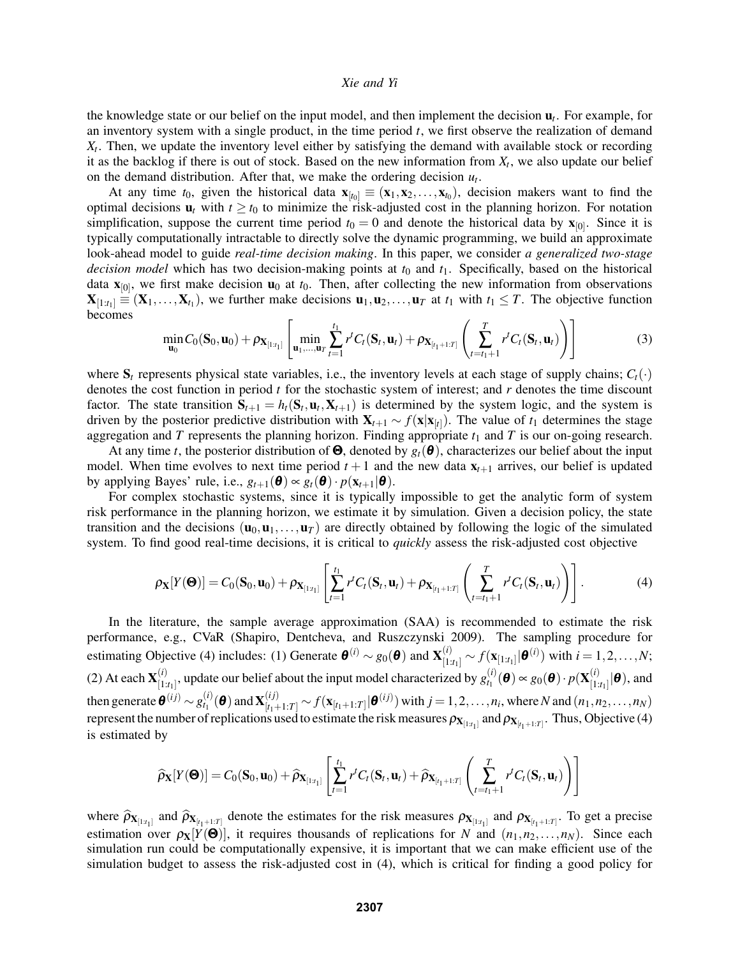the knowledge state or our belief on the input model, and then implement the decision u*<sup>t</sup>* . For example, for an inventory system with a single product, in the time period *t*, we first observe the realization of demand *Xt* . Then, we update the inventory level either by satisfying the demand with available stock or recording it as the backlog if there is out of stock. Based on the new information from *X<sup>t</sup>* , we also update our belief on the demand distribution. After that, we make the ordering decision  $u_t$ .

At any time  $t_0$ , given the historical data  $\mathbf{x}_{[t_0]} \equiv (\mathbf{x}_1, \mathbf{x}_2, \dots, \mathbf{x}_{t_0})$ , decision makers want to find the optimal decisions  $\mathbf{u}_t$  with  $t \geq t_0$  to minimize the risk-adjusted cost in the planning horizon. For notation simplification, suppose the current time period  $t_0 = 0$  and denote the historical data by  $\mathbf{x}_{[0]}$ . Since it is typically computationally intractable to directly solve the dynamic programming, we build an approximate look-ahead model to guide *real-time decision making*. In this paper, we consider *a generalized two-stage decision model* which has two decision-making points at  $t_0$  and  $t_1$ . Specifically, based on the historical data  $\mathbf{x}_{[0]}$ , we first make decision  $\mathbf{u}_0$  at  $t_0$ . Then, after collecting the new information from observations  $\mathbf{X}_{[1:t_1]} \equiv (\mathbf{X}_1,\ldots,\mathbf{X}_{t_1})$ , we further make decisions  $\mathbf{u}_1, \mathbf{u}_2,\ldots,\mathbf{u}_T$  at  $t_1$  with  $t_1 \leq T$ . The objective function becomes

$$
\min_{\mathbf{u}_0} C_0(\mathbf{S}_0, \mathbf{u}_0) + \rho_{\mathbf{X}_{[1:t_1]}} \left[ \min_{\mathbf{u}_1, ..., \mathbf{u}_T} \sum_{t=1}^{t_1} r^t C_t(\mathbf{S}_t, \mathbf{u}_t) + \rho_{\mathbf{X}_{[t_1+1:T]}} \left( \sum_{t=t_1+1}^T r^t C_t(\mathbf{S}_t, \mathbf{u}_t) \right) \right]
$$
(3)

where  $S_t$  represents physical state variables, i.e., the inventory levels at each stage of supply chains;  $C_t(\cdot)$ denotes the cost function in period *t* for the stochastic system of interest; and *r* denotes the time discount factor. The state transition  $S_{t+1} = h_t(S_t, \mathbf{u}_t, \mathbf{X}_{t+1})$  is determined by the system logic, and the system is driven by the posterior predictive distribution with  $X_{t+1} \sim f(x|x_{[t]})$ . The value of  $t_1$  determines the stage aggregation and  $T$  represents the planning horizon. Finding appropriate  $t_1$  and  $T$  is our on-going research.

At any time *t*, the posterior distribution of  $\Theta$ , denoted by  $g_t(\theta)$ , characterizes our belief about the input model. When time evolves to next time period  $t + 1$  and the new data  $x_{t+1}$  arrives, our belief is updated by applying Bayes' rule, i.e.,  $g_{t+1}(\boldsymbol{\theta}) \propto g_t(\boldsymbol{\theta}) \cdot p(\mathbf{x}_{t+1}|\boldsymbol{\theta})$ .

For complex stochastic systems, since it is typically impossible to get the analytic form of system risk performance in the planning horizon, we estimate it by simulation. Given a decision policy, the state transition and the decisions  $(\mathbf{u}_0, \mathbf{u}_1, \dots, \mathbf{u}_T)$  are directly obtained by following the logic of the simulated system. To find good real-time decisions, it is critical to *quickly* assess the risk-adjusted cost objective

$$
\rho_{\mathbf{X}}[Y(\mathbf{\Theta})] = C_0(\mathbf{S}_0, \mathbf{u}_0) + \rho_{\mathbf{X}_{[1:t_1]}} \left[ \sum_{t=1}^{t_1} r^t C_t(\mathbf{S}_t, \mathbf{u}_t) + \rho_{\mathbf{X}_{[t_1+1:T]}} \left( \sum_{t=t_1+1}^T r^t C_t(\mathbf{S}_t, \mathbf{u}_t) \right) \right]. \tag{4}
$$

In the literature, the sample average approximation (SAA) is recommended to estimate the risk performance, e.g., CVaR (Shapiro, Dentcheva, and Ruszczynski 2009). The sampling procedure for estimating Objective (4) includes: (1) Generate  $\boldsymbol{\theta}^{(i)} \sim g_0(\boldsymbol{\theta})$  and  $\mathbf{X}_{[1:t_1]}^{(i)} \sim f(\mathbf{x}_{[1:t_1]}|\boldsymbol{\theta}^{(i)})$  with  $i = 1, 2, ..., N$ ; (2) At each  ${\bf X}_{1}^{(i)}$  $\begin{bmatrix} (i) \\ [1:t_1] \end{bmatrix}$ , update our belief about the input model characterized by  $g_{t_1}^{(i)}$  $t_1^{(i)}(\boldsymbol{\theta}) \propto g_0(\boldsymbol{\theta}) \cdot p(\mathbf{X}_{[1]}^{(i)})$  $\left[\begin{smallmatrix} (l) \ 1:t_1 \end{smallmatrix}\right]$   $\boldsymbol{\theta}$  ), and then generate  $\boldsymbol{\theta}^{(ij)} \sim g_{t_1}^{(i)}$  $f_{t_1}^{(i)}(\boldsymbol{\theta})$  and  $\mathbf{X}_{[t_1+1:T]}^{(ij)} \sim f(\mathbf{x}_{[t_1+1:T]} | \boldsymbol{\theta}^{(ij)})$  with  $j = 1, 2, ..., n_i$ , where *N* and  $(n_1, n_2, ..., n_N)$ represent the number of replications used to estimate the risk measures  $\rho_{X_{[1:t_1]}}$  and  $\rho_{X_{[t_1+1:T]}}$ . Thus, Objective (4) is estimated by

$$
\widehat{\rho}_{\mathbf{X}}[Y(\mathbf{\Theta})] = C_0(\mathbf{S}_0, \mathbf{u}_0) + \widehat{\rho}_{\mathbf{X}_{[1:t_1]}} \left[ \sum_{t=1}^{t_1} r^t C_t(\mathbf{S}_t, \mathbf{u}_t) + \widehat{\rho}_{\mathbf{X}_{[t_1+1:T]}} \left( \sum_{t=t_1+1}^T r^t C_t(\mathbf{S}_t, \mathbf{u}_t) \right) \right]
$$

where  $\hat{\rho}_{\mathbf{X}_{[t+1]}}$  and  $\hat{\rho}_{\mathbf{X}_{[t+1:T]}}$  denote the estimates for the risk measures  $\rho_{\mathbf{X}_{[t+1]}}$  and  $\rho_{\mathbf{X}_{[t+1:T]}}$ . To get a precise estimation over  $\rho_X[Y(\Theta)]$ , it requires thousands of replications for *N* and  $(n_1, n_2, \ldots, n_N)$ . Since each simulation run could be computationally expensive, it is important that we can make efficient use of the simulation budget to assess the risk-adjusted cost in (4), which is critical for finding a good policy for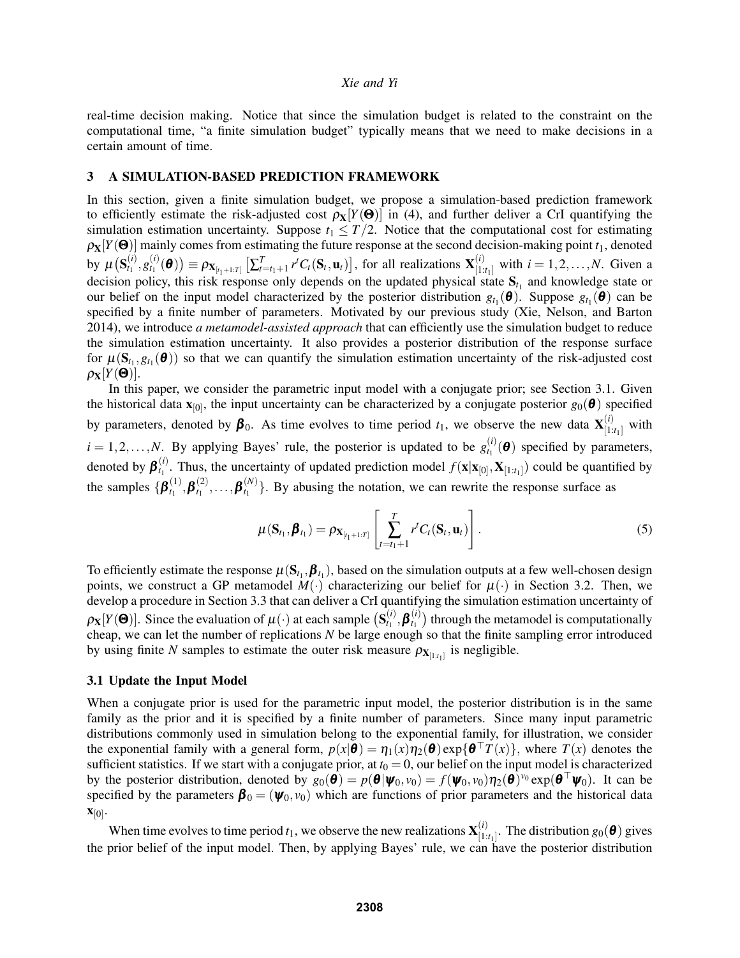real-time decision making. Notice that since the simulation budget is related to the constraint on the computational time, "a finite simulation budget" typically means that we need to make decisions in a certain amount of time.

## 3 A SIMULATION-BASED PREDICTION FRAMEWORK

In this section, given a finite simulation budget, we propose a simulation-based prediction framework to efficiently estimate the risk-adjusted cost  $\rho_X[Y(\Theta)]$  in (4), and further deliver a CrI quantifying the simulation estimation uncertainty. Suppose  $t_1 \leq T/2$ . Notice that the computational cost for estimating  $\rho_X[Y(\Theta)]$  mainly comes from estimating the future response at the second decision-making point  $t_1$ , denoted by  $\mu\big(\mathbf{S}^{(i)}_{t_1}$  $\genfrac(){0pt}{1}{(i)}{g_{t_1}}\genfrac(){0pt}{1}{(i)}{g_{t_1}}$  $\mathbf{P}(\mathbf{x}_{t_1}^{(i)} | \mathbf{\Theta})$   $\equiv \rho_{\mathbf{X}_{[t_1+1:T]}} \left[ \sum_{t=t_1+1}^T r^t C_t(\mathbf{S}_t, \mathbf{u}_t) \right]$ , for all realizations  $\mathbf{X}_{[1:T]}^{(i)}$  $\prod_{[1:t_1]}^{(t)}$  with  $i = 1, 2, ..., N$ . Given a decision policy, this risk response only depends on the updated physical state  $S_{t_1}$  and knowledge state or our belief on the input model characterized by the posterior distribution  $g_{t_1}(\theta)$ . Suppose  $g_{t_1}(\theta)$  can be specified by a finite number of parameters. Motivated by our previous study (Xie, Nelson, and Barton 2014), we introduce *a metamodel-assisted approach* that can efficiently use the simulation budget to reduce the simulation estimation uncertainty. It also provides a posterior distribution of the response surface for  $\mu(S_{t_1}, g_{t_1}(\theta))$  so that we can quantify the simulation estimation uncertainty of the risk-adjusted cost  $\rho$ <sub>X</sub> $[Y(\mathbf{\Theta})]$ .

In this paper, we consider the parametric input model with a conjugate prior; see Section 3.1. Given the historical data  $\mathbf{x}_{[0]}$ , the input uncertainty can be characterized by a conjugate posterior  $g_0(\theta)$  specified by parameters, denoted by  $\beta_0$ . As time evolves to time period  $t_1$ , we observe the new data  $\mathbf{X}_{[1]}^{(i)}$ .  $\binom{t}{1:t_1}$  with  $i = 1, 2, \ldots, N$ . By applying Bayes' rule, the posterior is updated to be  $g_{t_1}^{(i)}$  $t_1^{(l)}(\boldsymbol{\theta})$  specified by parameters, denoted by  $\boldsymbol{\beta}_{t_1}^{(i)}$ <sup>t<sub>1</sub></sup>. Thus, the uncertainty of updated prediction model  $f(\mathbf{x}|\mathbf{x}_{[0]}, \mathbf{X}_{[1:t_1]})$  could be quantified by the samples  $\{\boldsymbol{\beta}_{t_1}^{(1)}\}$  $\bm{f}_1^{(1)}, \bm{\beta}_{t_1}^{(2)}$  $\bm{f}_1^{(2)}, \ldots, \bm{\beta}_{t_1}^{(N)}$  $\binom{N}{t_1}$ . By abusing the notation, we can rewrite the response surface as

$$
\mu(\mathbf{S}_{t_1},\boldsymbol{\beta}_{t_1})=\rho_{\mathbf{X}_{[t_1+1:T]}}\left[\sum_{t=t_1+1}^T r^t C_t(\mathbf{S}_t,\mathbf{u}_t)\right].
$$
\n(5)

To efficiently estimate the response  $\mu(S_{t_1}, \beta_{t_1})$ , based on the simulation outputs at a few well-chosen design points, we construct a GP metamodel  $M(\cdot)$  characterizing our belief for  $\mu(\cdot)$  in Section 3.2. Then, we develop a procedure in Section 3.3 that can deliver a CrI quantifying the simulation estimation uncertainty of  $\rho_{\bf X}[Y(\bf{\Theta})]$ . Since the evaluation of  $\mu(\cdot)$  at each sample  $({\bf S}_{t_1}^{(i)})$  $\bm{f}_1^{(i)}, \bm{\beta}_{t_1}^{(i)}$  $t_1^{(t)}$  through the metamodel is computationally cheap, we can let the number of replications *N* be large enough so that the finite sampling error introduced by using finite *N* samples to estimate the outer risk measure  $\rho_{X_{[1:t_1]}}$  is negligible.

## 3.1 Update the Input Model

When a conjugate prior is used for the parametric input model, the posterior distribution is in the same family as the prior and it is specified by a finite number of parameters. Since many input parametric distributions commonly used in simulation belong to the exponential family, for illustration, we consider the exponential family with a general form,  $p(x|\theta) = \eta_1(x)\eta_2(\theta) \exp{\{\theta^\top T(x)\}}$ , where  $T(x)$  denotes the sufficient statistics. If we start with a conjugate prior, at  $t_0 = 0$ , our belief on the input model is characterized by the posterior distribution, denoted by  $g_0(\hat{\theta}) = p(\theta | \psi_0, v_0) = f(\psi_0, v_0) \eta_2(\hat{\theta}) v_0 \exp(\theta^\top \psi_0)$ . It can be specified by the parameters  $\boldsymbol{\beta}_0 = (\boldsymbol{\psi}_0, v_0)$  which are functions of prior parameters and the historical data  $\mathbf{x}_{[0]}$ .

When time evolves to time period  $t_1$ , we observe the new realizations  $\mathbf{X}_{[1]}^{(i)}$ .  $\begin{bmatrix} (t) \\ [1:t_1] \end{bmatrix}$ . The distribution  $g_0(\boldsymbol{\theta})$  gives the prior belief of the input model. Then, by applying Bayes' rule, we can have the posterior distribution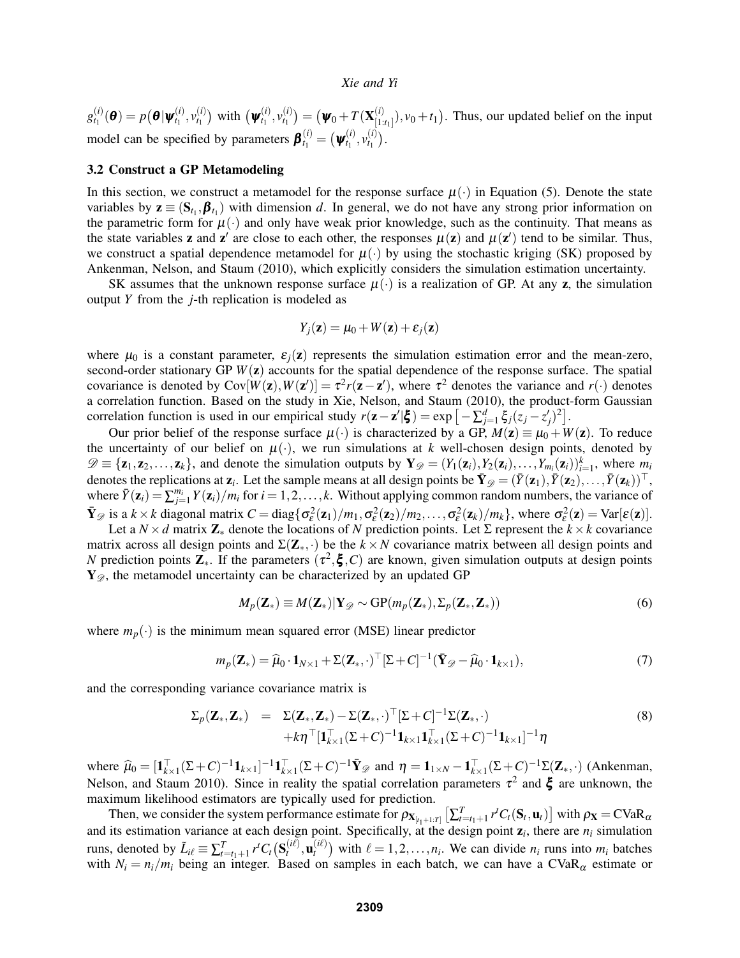$g_{t_1}^{(i)}$  $\boldsymbol{p}^{(i)}_{t_1}(\boldsymbol{\theta}) = p\big(\boldsymbol{\theta}|\boldsymbol{\psi}^{(i)}_{t_1}\big)$  $v_{t_1}^{(i)}, v_{t_1}^{(i)}$  $\binom{(i)}{t_1}$  with  $(\boldsymbol{\psi}_{t_1}^{(i)})$  $v_{t_1}^{(i)}, v_{t_1}^{(i)}$  $\begin{pmatrix} i \ t_1 \end{pmatrix} = \big( \boldsymbol{\psi}_0 + T(\mathbf{X}_{[1]}^{(i)} \big)$  $\begin{bmatrix} (t) \\ [1:t_1] \end{bmatrix}$ ,  $v_0 + t_1$ . Thus, our updated belief on the input model can be specified by parameters  $\boldsymbol{\beta}_{t_1}^{(i)} = (\boldsymbol{\psi}_{t_1}^{(i)})$  $v_{t_1}^{(i)}, v_{t_1}^{(i)}$  $\binom{(l)}{t_1}$ .

#### 3.2 Construct a GP Metamodeling

In this section, we construct a metamodel for the response surface  $\mu(\cdot)$  in Equation (5). Denote the state variables by  $z \equiv (S_{t_1}, \beta_{t_1})$  with dimension *d*. In general, we do not have any strong prior information on the parametric form for  $\mu(\cdot)$  and only have weak prior knowledge, such as the continuity. That means as the state variables **z** and **z'** are close to each other, the responses  $\mu(z)$  and  $\mu(z')$  tend to be similar. Thus, we construct a spatial dependence metamodel for  $\mu(\cdot)$  by using the stochastic kriging (SK) proposed by Ankenman, Nelson, and Staum (2010), which explicitly considers the simulation estimation uncertainty.

SK assumes that the unknown response surface  $\mu(\cdot)$  is a realization of GP. At any z, the simulation output *Y* from the *j*-th replication is modeled as

$$
Y_j(\mathbf{z}) = \mu_0 + W(\mathbf{z}) + \varepsilon_j(\mathbf{z})
$$

where  $\mu_0$  is a constant parameter,  $\varepsilon_i(z)$  represents the simulation estimation error and the mean-zero, second-order stationary GP *W*(z) accounts for the spatial dependence of the response surface. The spatial covariance is denoted by  $Cov[W(z), W(z')] = \tau^2 r(z - z')$ , where  $\tau^2$  denotes the variance and  $r(\cdot)$  denotes a correlation function. Based on the study in Xie, Nelson, and Staum (2010), the product-form Gaussian correlation function is used in our empirical study  $r(z - z'|\boldsymbol{\xi}) = \exp\left[-\sum_{j=1}^d \xi_j(z_j - z'_j)^2\right]$ .

Our prior belief of the response surface  $\mu(\cdot)$  is characterized by a GP,  $M(z) \equiv \mu_0 + W(z)$ . To reduce the uncertainty of our belief on  $\mu(\cdot)$ , we run simulations at *k* well-chosen design points, denoted by  $\mathscr{D} \equiv {\mathbf{z}_1, \mathbf{z}_2, \ldots, \mathbf{z}_k}$ , and denote the simulation outputs by  $\mathbf{Y}_{\mathscr{D}} = (Y_1(\mathbf{z}_i), Y_2(\mathbf{z}_i), \ldots, Y_{m_i}(\mathbf{z}_i))_{i=1}^k$ , where  $m_i$ denotes the replications at  $\mathbf{z}_i$ . Let the sample means at all design points be  $\bar{\mathbf{Y}}_{\mathscr{D}} = (\bar{Y}(\mathbf{z}_1), \bar{Y}(\mathbf{z}_2), \ldots, \bar{Y}(\mathbf{z}_k))^{\top}$ , where  $\bar{Y}(\mathbf{z}_i) = \sum_{j=1}^{m_i} Y(\mathbf{z}_i)/m_i$  for  $i = 1, 2, \ldots, k$ . Without applying common random numbers, the variance of  $\bar{\mathbf{Y}}_{\mathcal{D}}$  is a  $k \times k$  diagonal matrix  $C = \text{diag}\{\sigma_{\varepsilon}^2(\mathbf{z}_1)/m_1, \sigma_{\varepsilon}^2(\mathbf{z}_2)/m_2, \dots, \sigma_{\varepsilon}^2(\mathbf{z}_k)/m_k\}$ , where  $\sigma_{\varepsilon}^2(\mathbf{z}) = \text{Var}[\varepsilon(\mathbf{z})]$ .

Let a  $N \times d$  matrix  $\mathbb{Z}_{*}$  denote the locations of *N* prediction points. Let  $\Sigma$  represent the  $k \times k$  covariance matrix across all design points and  $\Sigma(\mathbf{Z}_{*},\cdot)$  be the  $k \times N$  covariance matrix between all design points and *N* prediction points  $\mathbf{Z}_{*}$ . If the parameters  $(\tau^2, \xi, C)$  are known, given simulation outputs at design points  $Y_{\mathscr{D}}$ , the metamodel uncertainty can be characterized by an updated GP

$$
M_p(\mathbf{Z}_*) \equiv M(\mathbf{Z}_*) | \mathbf{Y}_{\mathcal{D}} \sim GP(m_p(\mathbf{Z}_*), \Sigma_p(\mathbf{Z}_*, \mathbf{Z}_*))
$$
(6)

where  $m_p(\cdot)$  is the minimum mean squared error (MSE) linear predictor

$$
m_p(\mathbf{Z}_*) = \widehat{\mu}_0 \cdot \mathbf{1}_{N \times 1} + \Sigma(\mathbf{Z}_*, \cdot)^\top [\Sigma + C]^{-1} (\bar{\mathbf{Y}}_{\mathscr{D}} - \widehat{\mu}_0 \cdot \mathbf{1}_{k \times 1}),
$$
(7)

and the corresponding variance covariance matrix is

$$
\Sigma_p(\mathbf{Z}_*, \mathbf{Z}_*) = \Sigma(\mathbf{Z}_*, \mathbf{Z}_*) - \Sigma(\mathbf{Z}_*, \cdot)^\top [\Sigma + C]^{-1} \Sigma(\mathbf{Z}_*, \cdot) \n+ k \eta^\top [\mathbf{1}_{k \times 1}^\top (\Sigma + C)^{-1} \mathbf{1}_{k \times 1} \mathbf{1}_{k \times 1}^\top (\Sigma + C)^{-1} \mathbf{1}_{k \times 1}]^{-1} \eta
$$
\n(8)

where  $\hat{\mu}_0 = [\mathbf{1}_{k \times 1}^{\top}(\Sigma + C)^{-1}\mathbf{1}_{k \times 1}]^{-1}\mathbf{1}_{k \times 1}^{\top}(\Sigma + C)^{-1}\bar{\mathbf{Y}}_{\mathscr{D}}$  and  $\eta = \mathbf{1}_{1 \times N} - \mathbf{1}_{k \times 1}^{\top}(\Sigma + C)^{-1}\Sigma(\mathbf{Z}_{*}, \cdot)$  (Ankenman, Nelson, and Staum 2010). Since in reality the spatial correlation parameters  $\tau^2$  and  $\xi$  are unknown, the maximum likelihood estimators are typically used for prediction.

Then, we consider the system performance estimate for  $\rho_{X_{[t_1+1:T]}}\left[\sum_{t=t_1+1}^T r^t C_t(S_t, \mathbf{u}_t)\right]$  with  $\rho_X = C \text{VaR}_{\alpha}$ and its estimation variance at each design point. Specifically, at the design point  $z_i$ , there are  $n_i$  simulation runs, denoted by  $\tilde{L}_{i\ell} \equiv \sum_{t=t_1+1}^{T} r^t C_t (\mathbf{S}_t^{(i\ell)})$  $t^{(i\ell)}, \mathbf{u}_t^{(i\ell)}$  $\binom{n}{t}$  with  $\ell = 1, 2, \ldots, n_i$ . We can divide  $n_i$  runs into  $m_i$  batches with  $N_i = n_i/m_i$  being an integer. Based on samples in each batch, we can have a  $CVaR_\alpha$  estimate or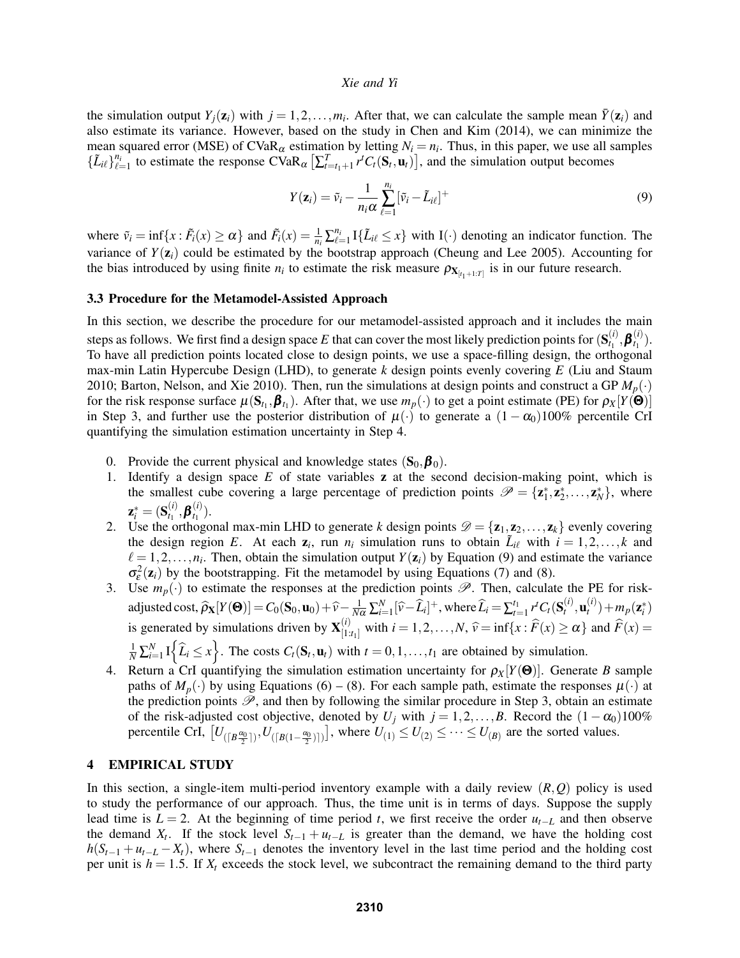the simulation output  $Y_j(z_i)$  with  $j = 1, 2, ..., m_i$ . After that, we can calculate the sample mean  $\bar{Y}(z_i)$  and also estimate its variance. However, based on the study in Chen and Kim (2014), we can minimize the mean squared error (MSE) of CVaR<sub> $\alpha$ </sub> estimation by letting  $N_i = n_i$ . Thus, in this paper, we use all samples  $\{\tilde{L}_{i\ell}\}_{\ell=1}^{n_i}$  to estimate the response  $CVaR_\alpha[\sum_{t=t_1+1}^T r^t C_t(\mathbf{S}_t, \mathbf{u}_t)]$ , and the simulation output becomes

$$
Y(\mathbf{z}_i) = \tilde{v}_i - \frac{1}{n_i \alpha} \sum_{\ell=1}^{n_i} [\tilde{v}_i - \tilde{L}_{i\ell}]^+
$$
\n(9)

where  $\tilde{v}_i = \inf\{x : \tilde{F}_i(x) \ge \alpha\}$  and  $\tilde{F}_i(x) = \frac{1}{n_i} \sum_{\ell=1}^{n_i} I\{\tilde{L}_{i\ell} \le x\}$  with  $I(\cdot)$  denoting an indicator function. The variance of  $Y(\mathbf{z}_i)$  could be estimated by the bootstrap approach (Cheung and Lee 2005). Accounting for the bias introduced by using finite  $n_i$  to estimate the risk measure  $\rho_{X_{[t_1+1:T]}}$  is in our future research.

#### 3.3 Procedure for the Metamodel-Assisted Approach

In this section, we describe the procedure for our metamodel-assisted approach and it includes the main steps as follows. We first find a design space E that can cover the most likely prediction points for  $(S_t^{(i)})$  $\bm{f}_1^{(i)}, \bm{\beta}_{t_1}^{(i)}$  $t_1^{(l)}$ . To have all prediction points located close to design points, we use a space-filling design, the orthogonal max-min Latin Hypercube Design (LHD), to generate *k* design points evenly covering *E* (Liu and Staum 2010; Barton, Nelson, and Xie 2010). Then, run the simulations at design points and construct a GP  $M_p(\cdot)$ for the risk response surface  $\mu(S_{t_1}, \beta_{t_1})$ . After that, we use  $m_p(\cdot)$  to get a point estimate (PE) for  $\rho_X[Y(\Theta)]$ in Step 3, and further use the posterior distribution of  $\mu(\cdot)$  to generate a  $(1 - \alpha_0)100\%$  percentile CrI quantifying the simulation estimation uncertainty in Step 4.

- 0. Provide the current physical and knowledge states  $(S_0, \beta_0)$ .
- 1. Identify a design space *E* of state variables z at the second decision-making point, which is the smallest cube covering a large percentage of prediction points  $\mathscr{P} = {\mathbf{z}_1^*, \mathbf{z}_2^*, \dots, \mathbf{z}_N^*}$ , where  $\mathbf{z}^*_i = (\mathbf{S}^{(i)}_{t_1}$  $\bm{f}_1^{(i)}, \bm{\beta}_{t_1}^{(i)}$  $t_1^{(l)}$ .
- 2. Use the orthogonal max-min LHD to generate *k* design points  $\mathcal{D} = {\mathbf{z}_1, \mathbf{z}_2, ..., \mathbf{z}_k}$  evenly covering the design region *E*. At each  $z_i$ , run  $n_i$  simulation runs to obtain  $\tilde{L}_{i\ell}$  with  $i = 1, 2, ..., k$  and  $\ell = 1,2,\ldots,n_i$ . Then, obtain the simulation output  $Y(\mathbf{z}_i)$  by Equation (9) and estimate the variance  $\sigma_{\varepsilon}^2(z_i)$  by the bootstrapping. Fit the metamodel by using Equations (7) and (8).
- 3. Use  $m_p(\cdot)$  to estimate the responses at the prediction points  $\mathscr{P}$ . Then, calculate the PE for riskadjusted cost,  $\widehat{\rho}_X[Y(\Theta)] = C_0(S_0, \mathbf{u}_0) + \widehat{v} - \frac{1}{N\alpha} \sum_{i=1}^N [\widehat{v} - \widehat{L}_i]^+,$  where  $\widehat{L}_i = \sum_{t=1}^{t_1} r^t C_t(S_t^{(i)})$  $_t^{(i)}, \mathbf{u}_t^{(i)}$  $m_p(z_i^*)$ is generated by simulations driven by  $\mathbf{X}_{1}^{(i)}$ .  $[1:t_1]$  with  $i = 1, 2, ..., N$ ,  $\hat{v} = \inf\{x : F(x) \ge \alpha\}$  and  $F(x) =$  $\frac{1}{N} \sum_{i=1}^{N} I_i \left\{ \hat{L}_i \leq x \right\}$ . The costs  $C_t(\mathbf{S}_t, \mathbf{u}_t)$  with  $t = 0, 1, \ldots, t_1$  are obtained by simulation.
- 4. Return a CrI quantifying the simulation estimation uncertainty for  $\rho_X[Y(\mathbf{\Theta})]$ . Generate *B* sample paths of  $M_p(\cdot)$  by using Equations (6) – (8). For each sample path, estimate the responses  $\mu(\cdot)$  at the prediction points  $\mathscr{P}$ , and then by following the similar procedure in Step 3, obtain an estimate of the risk-adjusted cost objective, denoted by  $U_j$  with  $j = 1, 2, ..., B$ . Record the  $(1 - \alpha_0)100\%$ percentile CrI,  $[U_{(\lceil B \frac{\alpha_0}{2} \rceil)}, U_{(\lceil B(1-\frac{\alpha_0}{2}) \rceil)}]$ , where  $U_{(1)} \leq U_{(2)} \leq \cdots \leq U_{(B)}$  are the sorted values.

## 4 EMPIRICAL STUDY

In this section, a single-item multi-period inventory example with a daily review (*R*,*Q*) policy is used to study the performance of our approach. Thus, the time unit is in terms of days. Suppose the supply lead time is  $L = 2$ . At the beginning of time period *t*, we first receive the order  $u_{t-L}$  and then observe the demand  $X_t$ . If the stock level  $S_{t-1} + u_{t-L}$  is greater than the demand, we have the holding cost  $h(S_{t-1} + u_{t-L} - X_t)$ , where  $S_{t-1}$  denotes the inventory level in the last time period and the holding cost per unit is  $h = 1.5$ . If  $X_t$  exceeds the stock level, we subcontract the remaining demand to the third party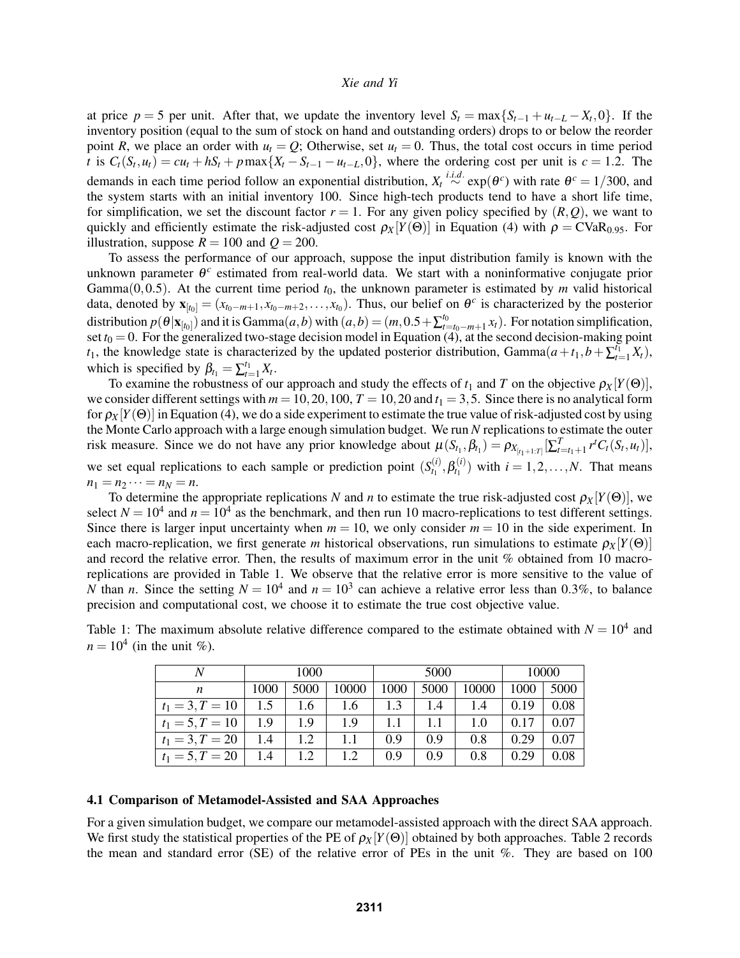at price  $p = 5$  per unit. After that, we update the inventory level  $S_t = \max\{S_{t-1} + u_{t-L} - X_t, 0\}$ . If the inventory position (equal to the sum of stock on hand and outstanding orders) drops to or below the reorder point *R*, we place an order with  $u_t = Q$ ; Otherwise, set  $u_t = 0$ . Thus, the total cost occurs in time period t is  $C_t(S_t, u_t) = cu_t + hS_t + p \max\{X_t - S_{t-1} - u_{t-L}, 0\}$ , where the ordering cost per unit is  $c = 1.2$ . The demands in each time period follow an exponential distribution,  $X_t \stackrel{i.i.d.}{\sim} \exp(\theta^c)$  with rate  $\theta^c = 1/300$ , and the system starts with an initial inventory 100. Since high-tech products tend to have a short life time, for simplification, we set the discount factor  $r = 1$ . For any given policy specified by  $(R, Q)$ , we want to quickly and efficiently estimate the risk-adjusted cost  $\rho_X[Y(\Theta)]$  in Equation (4) with  $\rho = \text{CVaR}_{0.95}$ . For illustration, suppose  $R = 100$  and  $Q = 200$ .

To assess the performance of our approach, suppose the input distribution family is known with the unknown parameter θ<sup>c</sup> estimated from real-world data. We start with a noninformative conjugate prior Gamma $(0, 0.5)$ . At the current time period  $t<sub>0</sub>$ , the unknown parameter is estimated by *m* valid historical data, denoted by  $\mathbf{x}_{[t_0]} = (x_{t_0-m+1}, x_{t_0-m+2}, \dots, x_{t_0})$ . Thus, our belief on  $\theta^c$  is characterized by the posterior distribution  $p(\theta|\mathbf{x}_{[t_0]})$  and it is Gamma $(a,b)$  with  $(a,b) = (m,0.5+\sum_{t=1}^{t_0}$  $\sum_{t=t_0-m+1}^{t_0} x_t$ . For notation simplification, set  $t_0 = 0$ . For the generalized two-stage decision model in Equation (4), at the second decision-making point *t*<sub>1</sub>, the knowledge state is characterized by the updated posterior distribution, Gamma $(a+t_1,b+\sum_{t=1}^{t_1}X_t)$ , which is specified by  $\beta_{t_1} = \sum_{t=1}^{t_1} X_t$ .

To examine the robustness of our approach and study the effects of  $t_1$  and  $T$  on the objective  $\rho_X[Y(\Theta)]$ , we consider different settings with  $m = 10, 20, 100, T = 10, 20$  and  $t_1 = 3, 5$ . Since there is no analytical form for  $\rho_X[Y(\Theta)]$  in Equation (4), we do a side experiment to estimate the true value of risk-adjusted cost by using the Monte Carlo approach with a large enough simulation budget. We run *N* replications to estimate the outer risk measure. Since we do not have any prior knowledge about  $\mu(S_{t_1}, \beta_{t_1}) = \rho_{X_{[t_1+1:T]}}[\sum_{t=t_1+1}^{T} r^t C_t(S_t, u_t)],$ we set equal replications to each sample or prediction point  $(S_t^{(i)})$  $\beta_{t_1}^{(i)},\beta_{t_1}^{(i)}$  $t_1^{(l)}$  with  $i = 1, 2, ..., N$ . That means  $n_1 = n_2 \cdots = n_N = n$ .

To determine the appropriate replications *N* and *n* to estimate the true risk-adjusted cost  $\rho_X[Y(\Theta)]$ , we select  $N = 10^4$  and  $n = 10^4$  as the benchmark, and then run 10 macro-replications to test different settings. Since there is larger input uncertainty when  $m = 10$ , we only consider  $m = 10$  in the side experiment. In each macro-replication, we first generate *m* historical observations, run simulations to estimate  $\rho_X[Y(\Theta)]$ and record the relative error. Then, the results of maximum error in the unit % obtained from 10 macroreplications are provided in Table 1. We observe that the relative error is more sensitive to the value of *N* than *n*. Since the setting  $N = 10^4$  and  $n = 10^3$  can achieve a relative error less than 0.3%, to balance precision and computational cost, we choose it to estimate the true cost objective value.

|                            | Table 1: The maximum absolute relative difference compared to the estimate obtained with $N = 10^4$ and |  |  |  |
|----------------------------|---------------------------------------------------------------------------------------------------------|--|--|--|
| $n = 104$ (in the unit %). |                                                                                                         |  |  |  |

| N                 | 1000 |      |       |      | 5000 | 10000 |      |      |
|-------------------|------|------|-------|------|------|-------|------|------|
| n                 | 1000 | 5000 | 10000 | 1000 | 5000 | 10000 | 1000 | 5000 |
| $t_1 = 3, T = 10$ | 1.5  | 1.6  | 1.6   | 1.3  | 1.4  | 1.4   | 0.19 | 0.08 |
| $t_1 = 5, T = 10$ | 1.9  | -1.9 | 1.9   | 1.1  | -1.1 | 1.0   | 0.17 | 0.07 |
| $t_1 = 3, T = 20$ | 1.4  | 1.2  |       | 0.9  | 0.9  | 0.8   | 0.29 | 0.07 |
| $t_1 = 5, T = 20$ | 1.4  | 1.2  | 1.2   | 0.9  | 0.9  | 0.8   | 0.29 | 0.08 |

## 4.1 Comparison of Metamodel-Assisted and SAA Approaches

For a given simulation budget, we compare our metamodel-assisted approach with the direct SAA approach. We first study the statistical properties of the PE of  $\rho_X[Y(\Theta)]$  obtained by both approaches. Table 2 records the mean and standard error (SE) of the relative error of PEs in the unit %. They are based on 100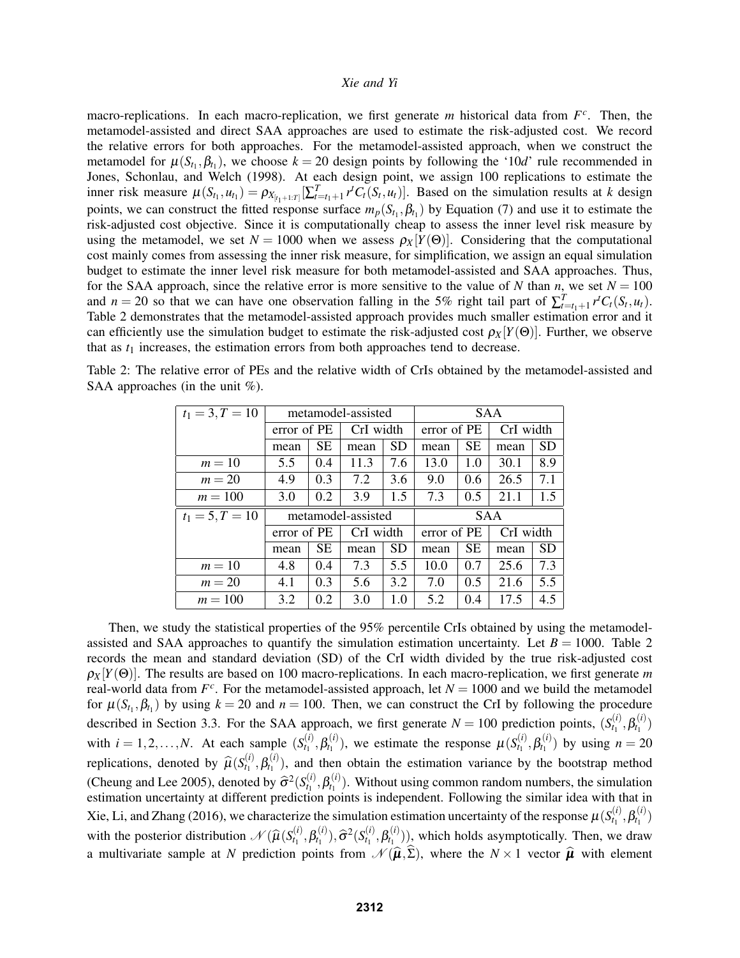macro-replications. In each macro-replication, we first generate *m* historical data from  $F<sup>c</sup>$ . Then, the metamodel-assisted and direct SAA approaches are used to estimate the risk-adjusted cost. We record the relative errors for both approaches. For the metamodel-assisted approach, when we construct the metamodel for  $\mu(S_{t_1}, \beta_{t_1})$ , we choose  $k = 20$  design points by following the '10*d*' rule recommended in Jones, Schonlau, and Welch (1998). At each design point, we assign 100 replications to estimate the inner risk measure  $\mu(S_{t_1}, u_{t_1}) = \rho_{X_{[t_1+1:T]}}[\sum_{t=t_1+1}^T r^t C_t(S_t, u_t)].$  Based on the simulation results at k design points, we can construct the fitted response surface  $m_p(S_{t_1}, \beta_{t_1})$  by Equation (7) and use it to estimate the risk-adjusted cost objective. Since it is computationally cheap to assess the inner level risk measure by using the metamodel, we set  $N = 1000$  when we assess  $\rho_X[Y(\Theta)]$ . Considering that the computational cost mainly comes from assessing the inner risk measure, for simplification, we assign an equal simulation budget to estimate the inner level risk measure for both metamodel-assisted and SAA approaches. Thus, for the SAA approach, since the relative error is more sensitive to the value of *N* than *n*, we set  $N = 100$ and *n* = 20 so that we can have one observation falling in the 5% right tail part of  $\sum_{t=t_1+1}^{T} r^t C_t (S_t, u_t)$ . Table 2 demonstrates that the metamodel-assisted approach provides much smaller estimation error and it can efficiently use the simulation budget to estimate the risk-adjusted cost  $\rho_X[Y(\Theta)]$ . Further, we observe that as  $t_1$  increases, the estimation errors from both approaches tend to decrease.

| $t_1 = 3, T = 10$ | metamodel-assisted |           |                    |     | <b>SAA</b>  |               |           |           |
|-------------------|--------------------|-----------|--------------------|-----|-------------|---------------|-----------|-----------|
|                   | error of PE        |           | CrI width          |     | error of PE |               | CrI width |           |
|                   | SЕ<br>mean         |           | mean               | SD  | mean        | <b>SE</b>     | mean      | <b>SD</b> |
| $m=10$            | 5.5                | 0.4       | 11.3               | 7.6 | 13.0        | 1.0           | 30.1      | 8.9       |
| $m = 20$          | 4.9<br>0.3         |           | 7.2                | 3.6 | 9.0         | $0.6^{\circ}$ | 26.5      | 7.1       |
| $m = 100$         | 0.2<br>3.0         |           | 3.9                | 1.5 | 7.3         | 0.5           | 21.1      | 1.5       |
|                   |                    |           |                    |     |             |               |           |           |
| $t_1 = 5, T = 10$ |                    |           | metamodel-assisted |     |             | <b>SAA</b>    |           |           |
|                   | error of PE        |           | CrI width          |     | error of PE |               | CrI width |           |
|                   | mean               | <b>SE</b> | mean               | SD  | mean        | <b>SE</b>     | mean      | <b>SD</b> |
| $m=10$            | 4.8                | 0.4       | 7.3                | 5.5 | 10.0        | 0.7           | 25.6      | 7.3       |
| $m = 20$          | 4.1                | 0.3       | 5.6                | 3.2 | 7.0         | 0.5           | 21.6      | 5.5       |

Table 2: The relative error of PEs and the relative width of CrIs obtained by the metamodel-assisted and SAA approaches (in the unit  $\%$ ).

Then, we study the statistical properties of the 95% percentile CrIs obtained by using the metamodelassisted and SAA approaches to quantify the simulation estimation uncertainty. Let  $B = 1000$ . Table 2 records the mean and standard deviation (SD) of the CrI width divided by the true risk-adjusted cost  $\rho_X[Y(\Theta)]$ . The results are based on 100 macro-replications. In each macro-replication, we first generate *m* real-world data from  $F^c$ . For the metamodel-assisted approach, let  $N = 1000$  and we build the metamodel for  $\mu(S_{t_1}, \beta_{t_1})$  by using  $k = 20$  and  $n = 100$ . Then, we can construct the CrI by following the procedure described in Section 3.3. For the SAA approach, we first generate  $N = 100$  prediction points,  $(S_t^{(i)})$  $\beta_{t_1}^{(i)}, \beta_{t_1}^{(i)}$  $t_1^{(l)}$ with  $i = 1, 2, \dots, N$ . At each sample  $(S_t^{(i)})$  $\beta_{t_1}^{(i)}, \beta_{t_1}^{(i)}$  $t_1^{(i)}$ ), we estimate the response  $\mu(S_{t_1}^{(i)})$  $\beta_{t_1}^{(i)},\beta_{t_1}^{(i)}$  $t_1^{(l)}$  by using  $n = 20$ replications, denoted by  $\widehat{\mu}(S_{t_1}^{(i)})$  $\theta_{t_1}^{(i)}, \beta_{t_1}^{(i)}$  $t_1^{(t)}$ , and then obtain the estimation variance by the bootstrap method (Cheung and Lee 2005), denoted by  $\hat{\sigma}^2(S_t^{(i)})$ <br>estimation uncertainty at different production  $\theta_{t_1}^{(i)}, \beta_{t_1}^{(i)}$  $t_1^{(t)}$ ). Without using common random numbers, the simulation estimation uncertainty at different prediction points is independent. Following the similar idea with that in Xie, Li, and Zhang (2016), we characterize the simulation estimation uncertainty of the response  $\mu(S^{(i)}_{t_1})$  $\beta_{t_1}^{(i)}, \beta_{t_1}^{(i)}$  $t_1^{(l)}$ with the posterior distribution  $\mathcal{N}(\widehat{\mu}(S_{t_1}^{(i)}))$  $\beta_{t_1}^{(i)},\beta_{t_1}^{(i)}$  $(\hat{\sigma}^{(i)}_{t_1}), \widehat{\sigma}^2(S^{(i)}_{t_1})$  $\theta_{t_1}^{(i)}, \beta_{t_1}^{(i)}$  $t_1^{(l)}$ ), which holds asymptotically. Then, we draw a multivariate sample at *N* prediction points from  $\mathcal{N}(\hat{\mu}, \Sigma)$ , where the  $N \times 1$  vector  $\hat{\mu}$  with element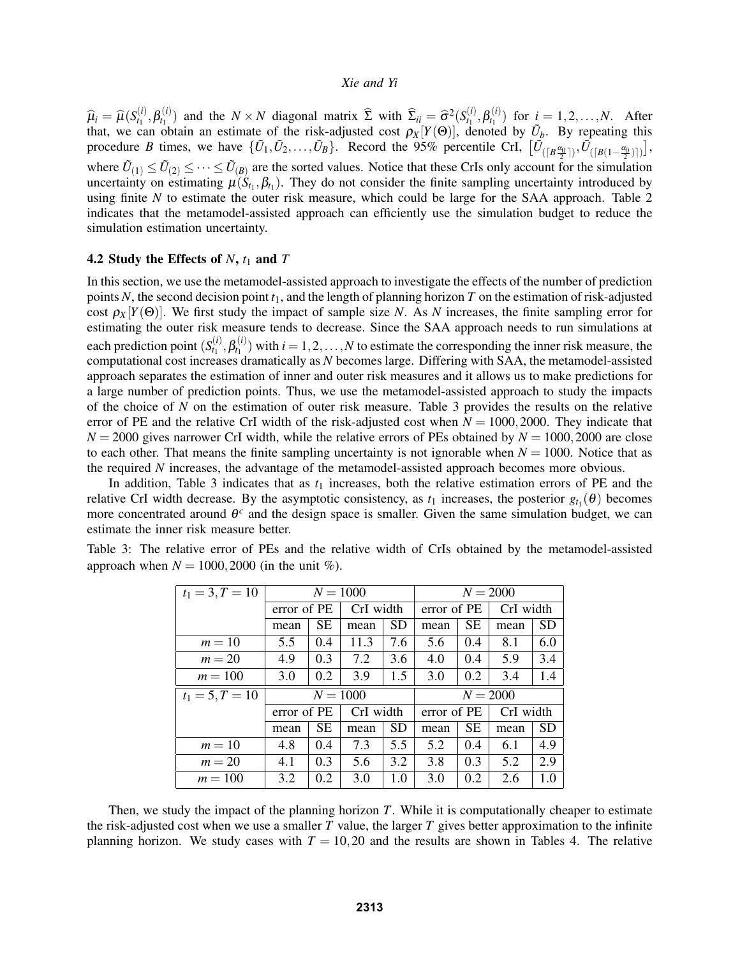$\widehat{\mu}_i = \widehat{\mu}(S_{t_1}^{(i)})$  $\beta_{t_1}^{(i)}, \beta_{t_1}^{(i)}$  $f_{t_1}^{(i)}$ ) and the *N* × *N* diagonal matrix  $\hat{\Sigma}$  with  $\hat{\Sigma}_{ii} = \hat{\sigma}^2 (S_{t_1}^{(i)})$  $\theta_{t_1}^{(i)}, \beta_{t_1}^{(i)}$  $t_1^{(l)}$  for  $i = 1, 2, ..., N$ . After that, we can obtain an estimate of the risk-adjusted cost  $\rho_X[Y(\Theta)]$ , denoted by  $\tilde{U}_b$ . By repeating this procedure *B* times, we have  $\{\tilde{U}_1, \tilde{U}_2, \ldots, \tilde{U}_B\}$ . Record the 95% percentile CrI,  $[\tilde{U}_{([B_{\tau_1}^{(0)}])}, \tilde{U}_{([B(1-\frac{\alpha_0}{2})])}],$ where  $\tilde{U}_{(1)} \leq \tilde{U}_{(2)} \leq \cdots \leq \tilde{U}_{(B)}$  are the sorted values. Notice that these CrIs only account for the simulation uncertainty on estimating  $\mu(S_{t_1}, \beta_{t_1})$ . They do not consider the finite sampling uncertainty introduced by using finite *N* to estimate the outer risk measure, which could be large for the SAA approach. Table 2 indicates that the metamodel-assisted approach can efficiently use the simulation budget to reduce the simulation estimation uncertainty.

## 4.2 Study the Effects of  $N$ ,  $t_1$  and  $T$

In this section, we use the metamodel-assisted approach to investigate the effects of the number of prediction points *N*, the second decision point *t*1, and the length of planning horizon *T* on the estimation of risk-adjusted cost  $\rho_X[Y(\Theta)]$ . We first study the impact of sample size *N*. As *N* increases, the finite sampling error for estimating the outer risk measure tends to decrease. Since the SAA approach needs to run simulations at each prediction point (*S* (*i*)  $\beta_{t_1}^{(i)}, \beta_{t_1}^{(i)}$  $t_1^{(l)}$  with  $i = 1, 2, ..., N$  to estimate the corresponding the inner risk measure, the computational cost increases dramatically as *N* becomes large. Differing with SAA, the metamodel-assisted approach separates the estimation of inner and outer risk measures and it allows us to make predictions for a large number of prediction points. Thus, we use the metamodel-assisted approach to study the impacts of the choice of *N* on the estimation of outer risk measure. Table 3 provides the results on the relative error of PE and the relative CrI width of the risk-adjusted cost when  $N = 1000,2000$ . They indicate that  $N = 2000$  gives narrower CrI width, while the relative errors of PEs obtained by  $N = 1000,2000$  are close to each other. That means the finite sampling uncertainty is not ignorable when  $N = 1000$ . Notice that as the required *N* increases, the advantage of the metamodel-assisted approach becomes more obvious.

In addition, Table 3 indicates that as  $t_1$  increases, both the relative estimation errors of PE and the relative CrI width decrease. By the asymptotic consistency, as  $t_1$  increases, the posterior  $g_{t_1}(\theta)$  becomes more concentrated around  $\theta^c$  and the design space is smaller. Given the same simulation budget, we can estimate the inner risk measure better.

| $t_1 = 3, T = 10$ | $N = 1000$        |           |           |           | $N = 2000$  |           |           |           |  |
|-------------------|-------------------|-----------|-----------|-----------|-------------|-----------|-----------|-----------|--|
|                   | error of PE       |           | CrI width |           | error of PE |           | CrI width |           |  |
|                   | mean              | <b>SE</b> | mean      | <b>SD</b> | mean        | <b>SE</b> | mean      | <b>SD</b> |  |
| $m=10$            | 5.5               | 0.4       | 11.3      | 7.6       | 5.6         | 0.4       | 8.1       | 6.0       |  |
| $m = 20$          | 4.9               | 0.3       | 7.2       | 3.6       | 4.0         | 0.4       | 5.9       | 3.4       |  |
| $m = 100$         | 3.0               | 0.2       | 3.9       | 1.5       | 3.0         | 0.2       | 3.4       | 1.4       |  |
| $t_1 = 5, T = 10$ | $N = 1000$        |           |           |           | $N = 2000$  |           |           |           |  |
|                   | error of PE       |           | CrI width |           | error of PE |           | CrI width |           |  |
|                   | <b>SE</b><br>mean |           |           |           |             |           |           |           |  |
|                   |                   |           | mean      | <b>SD</b> | mean        | <b>SE</b> | mean      | <b>SD</b> |  |
| $m=10$            | 4.8               | 0.4       | 7.3       | 5.5       | 5.2         | 0.4       | 6.1       | 4.9       |  |
| $m = 20$          | 4.1               | 0.3       | 5.6       | 3.2       | 3.8         | 0.3       | 5.2       | 2.9       |  |

Table 3: The relative error of PEs and the relative width of CrIs obtained by the metamodel-assisted approach when  $N = 1000, 2000$  (in the unit %).

Then, we study the impact of the planning horizon *T*. While it is computationally cheaper to estimate the risk-adjusted cost when we use a smaller *T* value, the larger *T* gives better approximation to the infinite planning horizon. We study cases with  $T = 10,20$  and the results are shown in Tables 4. The relative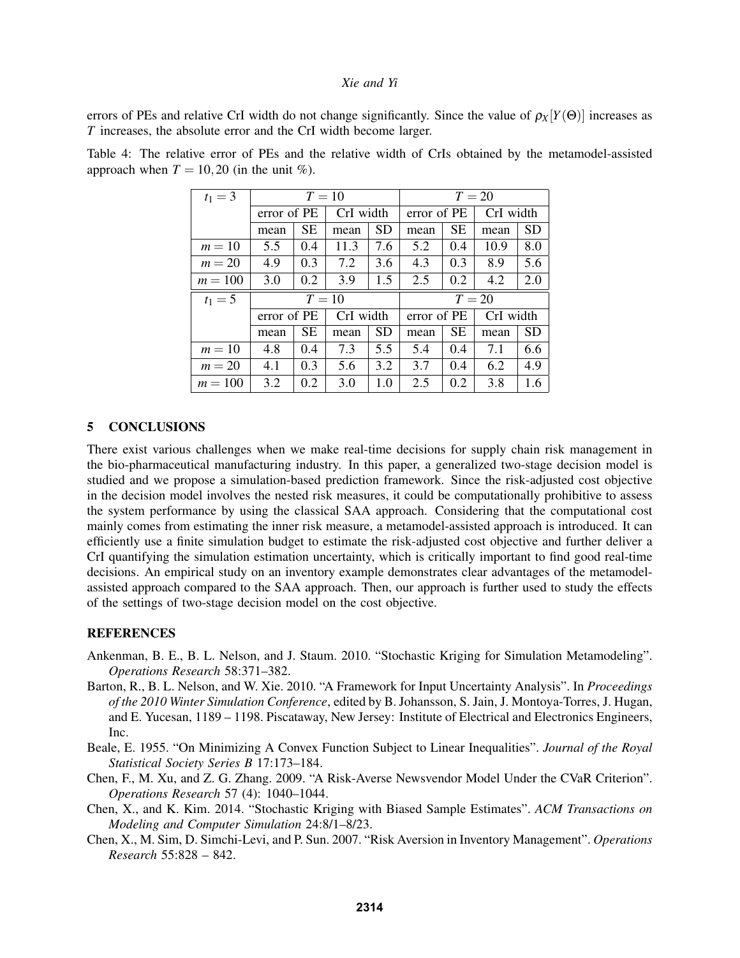errors of PEs and relative CrI width do not change significantly. Since the value of  $\rho_X[Y(\Theta)]$  increases as *T* increases, the absolute error and the CrI width become larger.

| $t_1 = 3$ | $T=10$      |     |           |           | $T=20$      |           |           |           |  |
|-----------|-------------|-----|-----------|-----------|-------------|-----------|-----------|-----------|--|
|           | error of PE |     | CrI width |           | error of PE |           | CrI width |           |  |
|           | mean        | SE. | mean      | <b>SD</b> | mean        | <b>SE</b> | mean      | <b>SD</b> |  |
| $m=10$    | 5.5         | 0.4 | 11.3      | 7.6       | 5.2         | 0.4       | 10.9      | 8.0       |  |
| $m = 20$  | 4.9         | 0.3 | 7.2       | 3.6       | 4.3         | 0.3       | 8.9       | 5.6       |  |
| $m = 100$ | 3.0         | 0.2 | 3.9       | 1.5       | 2.5         | 0.2       | 4.2       | 2.0       |  |
|           | $T=10$      |     |           |           |             |           |           |           |  |
| $t_1 = 5$ |             |     |           |           |             |           | $T=20$    |           |  |
|           | error of PE |     | CrI width |           | error of PE |           | CrI width |           |  |
|           | mean        | SE. | mean      | <b>SD</b> | mean        | <b>SE</b> | mean      | <b>SD</b> |  |
| $m=10$    | 4.8         | 0.4 | 7.3       | 5.5       | 5.4         | 0.4       | 7.1       | 6.6       |  |
| $m=20$    | 4.1         | 0.3 | 5.6       | 3.2       | 3.7         | 0.4       | 6.2       | 4.9       |  |

Table 4: The relative error of PEs and the relative width of CrIs obtained by the metamodel-assisted approach when  $T = 10,20$  (in the unit %).

## 5 CONCLUSIONS

There exist various challenges when we make real-time decisions for supply chain risk management in the bio-pharmaceutical manufacturing industry. In this paper, a generalized two-stage decision model is studied and we propose a simulation-based prediction framework. Since the risk-adjusted cost objective in the decision model involves the nested risk measures, it could be computationally prohibitive to assess the system performance by using the classical SAA approach. Considering that the computational cost mainly comes from estimating the inner risk measure, a metamodel-assisted approach is introduced. It can efficiently use a finite simulation budget to estimate the risk-adjusted cost objective and further deliver a CrI quantifying the simulation estimation uncertainty, which is critically important to find good real-time decisions. An empirical study on an inventory example demonstrates clear advantages of the metamodelassisted approach compared to the SAA approach. Then, our approach is further used to study the effects of the settings of two-stage decision model on the cost objective.

## **REFERENCES**

- Ankenman, B. E., B. L. Nelson, and J. Staum. 2010. "Stochastic Kriging for Simulation Metamodeling". *Operations Research* 58:371–382.
- Barton, R., B. L. Nelson, and W. Xie. 2010. "A Framework for Input Uncertainty Analysis". In *Proceedings of the 2010 Winter Simulation Conference*, edited by B. Johansson, S. Jain, J. Montoya-Torres, J. Hugan, and E. Yucesan, 1189 – 1198. Piscataway, New Jersey: Institute of Electrical and Electronics Engineers, Inc.
- Beale, E. 1955. "On Minimizing A Convex Function Subject to Linear Inequalities". *Journal of the Royal Statistical Society Series B* 17:173–184.
- Chen, F., M. Xu, and Z. G. Zhang. 2009. "A Risk-Averse Newsvendor Model Under the CVaR Criterion". *Operations Research* 57 (4): 1040–1044.
- Chen, X., and K. Kim. 2014. "Stochastic Kriging with Biased Sample Estimates". *ACM Transactions on Modeling and Computer Simulation* 24:8/1–8/23.
- Chen, X., M. Sim, D. Simchi-Levi, and P. Sun. 2007. "Risk Aversion in Inventory Management". *Operations Research* 55:828 – 842.